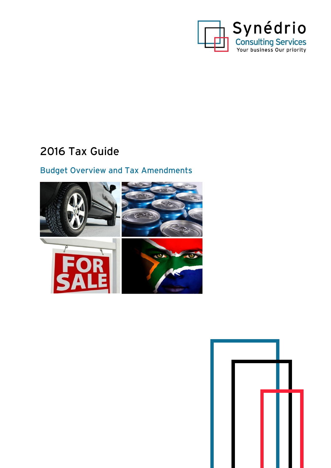

# 2016 Tax Guide

# Budget Overview and Tax Amendments



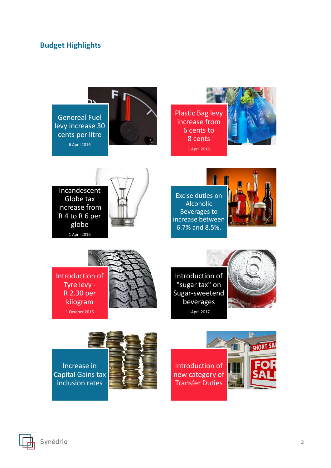# **Budget Highlights**



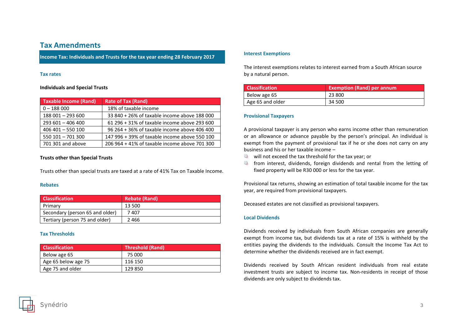# **Tax Amendments**

**Income Tax: Individuals and Trusts for the tax year ending 28 February 2017**

#### **Tax rates**

**Individuals and Special Trusts**

| <b>Taxable Income (Rand)</b> | <b>Rate of Tax (Rand)</b>                     |
|------------------------------|-----------------------------------------------|
| $0 - 188000$                 | 18% of taxable income                         |
| 188 001 - 293 600            | 33 840 + 26% of taxable income above 188 000  |
| 293 601 - 406 400            | 61 296 + 31% of taxable income above 293 600  |
| $406401 - 550100$            | 96 264 + 36% of taxable income above 406 400  |
| 550 101 - 701 300            | 147 996 + 39% of taxable income above 550 100 |
| 701 301 and above            | 206 964 + 41% of taxable income above 701 300 |

#### **Trusts other than Special Trusts**

Trusts other than special trusts are taxed at a rate of 41% Tax on Taxable Income.

#### **Rebates**

| <b>Classification</b>           | <b>Rebate (Rand)</b> |
|---------------------------------|----------------------|
| Primary                         | 13 500               |
| Secondary (person 65 and older) | 7 407                |
| Tertiary (person 75 and older)  | 2466                 |

## **Tax Thresholds**

| <b>Classification</b> | <b>Threshold (Rand)</b> |
|-----------------------|-------------------------|
| Below age 65          | 75 000                  |
| Age 65 below age 75   | 116 150                 |
| Age 75 and older      | 129 850                 |

#### **Interest Exemptions**

The interest exemptions relates to interest earned from a South African source by a natural person.

| <b>Classification</b> | <b>Exemption (Rand) per annum</b> |
|-----------------------|-----------------------------------|
| Below age 65          | 23 800                            |
| Age 65 and older      | 34 500                            |

#### **Provisional Taxpayers**

A provisional taxpayer is any person who earns income other than remuneration or an allowance or advance payable by the person's principal. An individual is exempt from the payment of provisional tax if he or she does not carry on any business and his or her taxable income –

- $\Box$ will not exceed the tax threshold for the tax year; or
- from interest, dividends, foreign dividends and rental from the letting of fixed property will be R30 000 or less for the tax year.

Provisional tax returns, showing an estimation of total taxable income for the tax year, are required from provisional taxpayers.

Deceased estates are not classified as provisional taxpayers.

#### **Local Dividends**

Dividends received by individuals from South African companies are generally exempt from income tax, but dividends tax at a rate of 15% is withheld by the entities paying the dividends to the individuals. Consult the Income Tax Act to determine whether the dividends received are in fact exempt.

Dividends received by South African resident individuals from real estate investment trusts are subject to income tax. Non-residents in receipt of those dividends are only subject to dividends tax.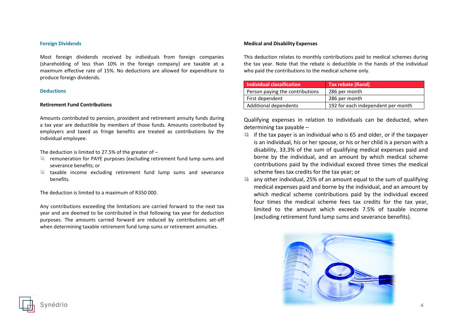#### **Foreign Dividends**

Most foreign dividends received by individuals from foreign companies (shareholding of less than 10% in the foreign company) are taxable at a maximum effective rate of 15%. No deductions are allowed for expenditure to produce foreign dividends.

#### **Deductions**

#### **Retirement Fund Contributions**

Amounts contributed to pension, provident and retirement annuity funds during a tax year are deductible by members of those funds. Amounts contributed by employers and taxed as fringe benefits are treated as contributions by the individual employee.

The deduction is limited to 27.5% of the greater of –

- $\Box$ remuneration for PAYE purposes (excluding retirement fund lump sums and severance benefits; or
- 區 taxable income excluding retirement fund lump sums and severance benefits.

The deduction is limited to a maximum of R350 000.

Any contributions exceeding the limitations are carried forward to the next tax year and are deemed to be contributed in that following tax year for deduction purposes. The amounts carried forward are reduced by contributions set-off when determining taxable retirement fund lump sums or retirement annuities.

#### **Medical and Disability Expenses**

This deduction relates to monthly contributions paid to medical schemes during the tax year. Note that the rebate is deductible in the hands of the individual who paid the contributions to the medical scheme only.

| <b>Individual classification</b> | <b>Tax rebate (Rand)</b>           |
|----------------------------------|------------------------------------|
| Person paying the contributions  | 286 per month                      |
| First dependent                  | 286 per month                      |
| Additional dependents            | 192 for each independent per month |

Qualifying expenses in relation to individuals can be deducted, when determining tax payable –

- $\Box$  if the tax payer is an individual who is 65 and older, or if the taxpayer is an individual, his or her spouse, or his or her child is a person with a disability, 33.3% of the sum of qualifying medical expenses paid and borne by the individual, and an amount by which medical scheme contributions paid by the individual exceed three times the medical scheme fees tax credits for the tax year; or
- any other individual, 25% of an amount equal to the sum of qualifying 囁 medical expenses paid and borne by the individual, and an amount by which medical scheme contributions paid by the individual exceed four times the medical scheme fees tax credits for the tax year, limited to the amount which exceeds 7.5% of taxable income (excluding retirement fund lump sums and severance benefits).

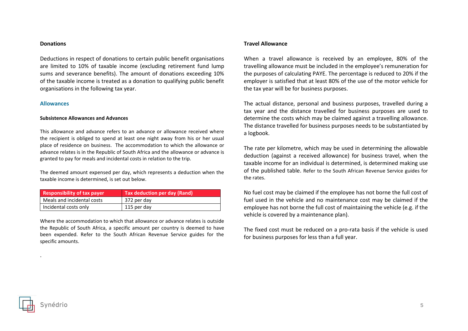#### **Donations**

Deductions in respect of donations to certain public benefit organisations are limited to 10% of taxable income (excluding retirement fund lump sums and severance benefits). The amount of donations exceeding 10% of the taxable income is treated as a donation to qualifying public benefit organisations in the following tax year.

#### **Allowances**

#### **Subsistence Allowances and Advances**

This allowance and advance refers to an advance or allowance received where the recipient is obliged to spend at least one night away from his or her usual place of residence on business. The accommodation to which the allowance or advance relates is in the Republic of South Africa and the allowance or advance is granted to pay for meals and incidental costs in relation to the trip.

The deemed amount expensed per day, which represents a deduction when the taxable income is determined, is set out below.

| <b>Responsibility of tax payer</b> | Tax deduction per day (Rand) |
|------------------------------------|------------------------------|
| Meals and incidental costs         | 372 per day                  |
| Incidental costs only              | 115 per day                  |

Where the accommodation to which that allowance or advance relates is outside the Republic of South Africa, a specific amount per country is deemed to have been expended. Refer to the South African Revenue Service guides for the specific amounts.

#### **Travel Allowance**

When a travel allowance is received by an employee, 80% of the travelling allowance must be included in the employee's remuneration for the purposes of calculating PAYE. The percentage is reduced to 20% if the employer is satisfied that at least 80% of the use of the motor vehicle for the tax year will be for business purposes.

The actual distance, personal and business purposes, travelled during a tax year and the distance travelled for business purposes are used to determine the costs which may be claimed against a travelling allowance. The distance travelled for business purposes needs to be substantiated by a logbook.

The rate per kilometre, which may be used in determining the allowable deduction (against a received allowance) for business travel, when the taxable income for an individual is determined, is determined making use of the published table. Refer to the South African Revenue Service guides for the rates.

No fuel cost may be claimed if the employee has not borne the full cost of fuel used in the vehicle and no maintenance cost may be claimed if the employee has not borne the full cost of maintaining the vehicle (e.g. if the vehicle is covered by a maintenance plan).

The fixed cost must be reduced on a pro-rata basis if the vehicle is used for business purposes for less than a full year.



.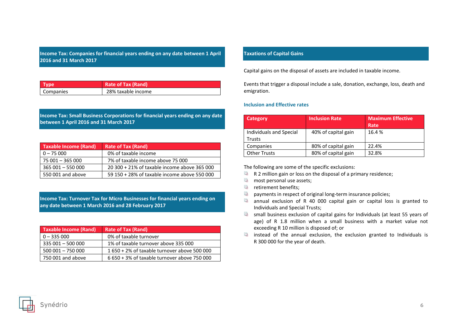## **Income Tax: Companies for financial years ending on any date between 1 April 2016 and 31 March 2017**

| <b>Type</b> | <b>Rate of Tax (Rand)</b> |
|-------------|---------------------------|
| Companies   | 28% taxable income        |

## **Income Tax: Small Business Corporations for financial years ending on any date between 1 April 2016 and 31 March 2017**

| <b>Taxable Income (Rand)</b> | <b>Rate of Tax (Rand)</b>                    |
|------------------------------|----------------------------------------------|
| $0 - 75000$                  | 0% of taxable income                         |
| 75 001 - 365 000             | 7% of taxable income above 75 000            |
| $365001 - 550000$            | 20 300 + 21% of taxable income above 365 000 |
| 550 001 and above            | 59 150 + 28% of taxable income above 550 000 |

**Income Tax: Turnover Tax for Micro Businesses for financial years ending on any date between 1 March 2016 and 28 February 2017**

| <b>Taxable Income (Rand)</b> | <b>Rate of Tax (Rand)</b>                    |
|------------------------------|----------------------------------------------|
| $0 - 335000$                 | 0% of taxable turnover                       |
| $335001 - 500000$            | 1% of taxable turnover above 335 000         |
| $500001 - 75000$             | 1650 + 2% of taxable turnover above 500 000  |
| 750 001 and above            | 6 650 + 3% of taxable turnover above 750 000 |

#### **Taxations of Capital Gains**

Capital gains on the disposal of assets are included in taxable income.

Events that trigger a disposal include a sale, donation, exchange, loss, death and emigration.

#### **Inclusion and Effective rates**

| Category                          | <b>Inclusion Rate</b> | <b>Maximum Effective</b><br>Rate |
|-----------------------------------|-----------------------|----------------------------------|
| Individuals and Special<br>Trusts | 40% of capital gain   | 16.4 %                           |
| Companies                         | 80% of capital gain   | 22.4%                            |
| <b>Other Trusts</b>               | 80% of capital gain   | 32.8%                            |

The following are some of the specific exclusions:

- **E** R 2 million gain or loss on the disposal of a primary residence:
- most personal use assets;
- **E** retirement benefits;
- $\Box$  payments in respect of original long-term insurance policies;
- annual exclusion of R 40 000 capital gain or capital loss is granted to Individuals and Special Trusts;
- small business exclusion of capital gains for Individuals (at least 55 years of age) of R 1.8 million when a small business with a market value not exceeding R 10 million is disposed of; or
- $\Box$  instead of the annual exclusion, the exclusion granted to Individuals is R 300 000 for the year of death.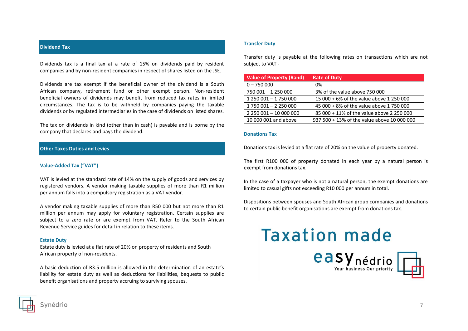#### **Dividend Tax**

Dividends tax is a final tax at a rate of 15% on dividends paid by resident companies and by non-resident companies in respect of shares listed on the JSE.

Dividends are tax exempt if the beneficial owner of the dividend is a South African company, retirement fund or other exempt person. Non-resident beneficial owners of dividends may benefit from reduced tax rates in limited circumstances. The tax is to be withheld by companies paying the taxable dividends or by regulated intermediaries in the case of dividends on listed shares.

The tax on dividends in kind (other than in cash) is payable and is borne by the company that declares and pays the dividend.

#### **Other Taxes Duties and Levies**

#### **Value-Added Tax ("VAT")**

VAT is levied at the standard rate of 14% on the supply of goods and services by registered vendors. A vendor making taxable supplies of more than R1 million per annum falls into a compulsory registration as a VAT vendor.

A vendor making taxable supplies of more than R50 000 but not more than R1 million per annum may apply for voluntary registration. Certain supplies are subject to a zero rate or are exempt from VAT. Refer to the South African Revenue Service guides for detail in relation to these items.

#### **Estate Duty**

Estate duty is levied at a flat rate of 20% on property of residents and South African property of non-residents.

A basic deduction of R3.5 million is allowed in the determination of an estate's liability for estate duty as well as deductions for liabilities, bequests to public benefit organisations and property accruing to surviving spouses.

#### **Transfer Duty**

Transfer duty is payable at the following rates on transactions which are not subject to VAT -

| <b>Value of Property (Rand)</b> | <b>Rate of Duty</b>                         |
|---------------------------------|---------------------------------------------|
| $0 - 750000$                    | 0%                                          |
| 750 001 - 1 250 000             | 3% of the value above 750 000               |
| 1 250 001 - 1 750 000           | 15 000 + 6% of the value above 1 250 000    |
| 1750 001 - 2250 000             | 45 000 + 8% of the value above 1 750 000    |
| 2 250 001 - 10 000 000          | 85 000 + 11% of the value above 2 250 000   |
| 10 000 001 and above            | 937 500 + 13% of the value above 10 000 000 |

#### **Donations Tax**

Donations tax is levied at a flat rate of 20% on the value of property donated.

The first R100 000 of property donated in each year by a natural person is exempt from donations tax.

In the case of a taxpayer who is not a natural person, the exempt donations are limited to casual gifts not exceeding R10 000 per annum in total.

Dispositions between spouses and South African group companies and donations to certain public benefit organisations are exempt from donations tax.

# **Taxation made**





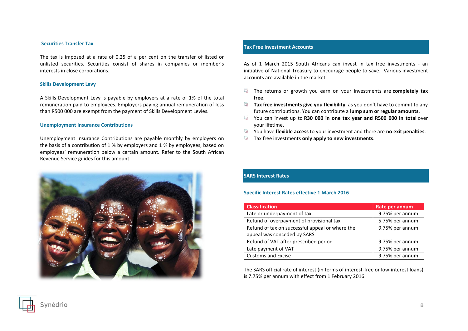#### **Securities Transfer Tax**

The tax is imposed at a rate of 0.25 of a per cent on the transfer of listed or unlisted securities. Securities consist of shares in companies or member's interests in close corporations.

#### **Skills Development Levy**

A Skills Development Levy is payable by employers at a rate of 1% of the total remuneration paid to employees. Employers paying annual remuneration of less than R500 000 are exempt from the payment of Skills Development Levies.

#### **Unemployment Insurance Contributions**

Unemployment Insurance Contributions are payable monthly by employers on the basis of a contribution of 1 % by employers and 1 % by employees, based on employees' remuneration below a certain amount. Refer to the South African Revenue Service guides for this amount.



#### **Tax Free Investment Accounts**

As of 1 March 2015 South Africans can invest in tax free investments - an initiative of National Treasury to encourage people to save. Various investment accounts are available in the market.

- $\Box$ The returns or growth you earn on your investments are **completely tax free**.
- $\Box$ **Tax free investments give you flexibility**, as you don't have to commit to any future contributions. You can contribute a **lump sum or regular amounts**.
- $\Box$ You can invest up to **R30 000 in one tax year and R500 000 in total** over your lifetime.
- You have **flexible access** to your investment and there are **no exit penalties**.  $\Box$
- $\Box$ Tax free investments **only apply to new investments**.

#### **SARS Interest Rates**

#### **Specific Interest Rates effective 1 March 2016**

| <b>Classification</b>                           | Rate per annum  |
|-------------------------------------------------|-----------------|
| Late or underpayment of tax                     | 9.75% per annum |
| Refund of overpayment of provisional tax        | 5.75% per annum |
| Refund of tax on successful appeal or where the | 9.75% per annum |
| appeal was conceded by SARS                     |                 |
| Refund of VAT after prescribed period           | 9.75% per annum |
| Late payment of VAT                             | 9.75% per annum |
| Customs and Excise                              | 9.75% per annum |

The SARS official rate of interest (in terms of interest-free or low-interest loans) is 7.75% per annum with effect from 1 February 2016.

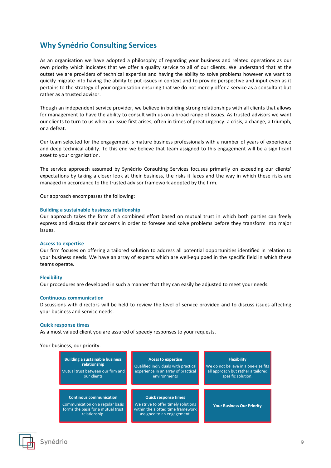# **Why Synédrio Consulting Services**

As an organisation we have adopted a philosophy of regarding your business and related operations as our own priority which indicates that we offer a quality service to all of our clients. We understand that at the outset we are providers of technical expertise and having the ability to solve problems however we want to quickly migrate into having the ability to put issues in context and to provide perspective and input even as it pertains to the strategy of your organisation ensuring that we do not merely offer a service as a consultant but rather as a trusted advisor.

Though an independent service provider, we believe in building strong relationships with all clients that allows for management to have the ability to consult with us on a broad range of issues. As trusted advisors we want our clients to turn to us when an issue first arises, often in times of great urgency: a crisis, a change, a triumph, or a defeat.

Our team selected for the engagement is mature business professionals with a number of years of experience and deep technical ability. To this end we believe that team assigned to this engagement will be a significant asset to your organisation.

The service approach assumed by Synédrio Consulting Services focuses primarily on exceeding our clients' expectations by taking a closer look at their business, the risks it faces and the way in which these risks are managed in accordance to the trusted advisor framework adopted by the firm.

Our approach encompasses the following:

#### **Building a sustainable business relationship**

Our approach takes the form of a combined effort based on mutual trust in which both parties can freely express and discuss their concerns in order to foresee and solve problems before they transform into major issues.

#### **Access to expertise**

Our firm focuses on offering a tailored solution to address all potential opportunities identified in relation to your business needs. We have an array of experts which are well-equipped in the specific field in which these teams operate.

## **Flexibility**

Our procedures are developed in such a manner that they can easily be adjusted to meet your needs.

#### **Continuous communication**

Discussions with directors will be held to review the level of service provided and to discuss issues affecting your business and service needs.

#### **Quick response times**

As a most valued client you are assured of speedy responses to your requests.

Your business, our priority.

| <b>Building a sustainable business</b>                                                                                    | <b>Acess to expertise</b>                                                                                                             | <b>Flexibility</b>                   |
|---------------------------------------------------------------------------------------------------------------------------|---------------------------------------------------------------------------------------------------------------------------------------|--------------------------------------|
| relationship                                                                                                              | Qualified individuals with practical                                                                                                  | We do not believe in a one-size fits |
| Mutual trust between our firm and                                                                                         | experience in an array of practical                                                                                                   | all approach but rather a tailored   |
| our clients                                                                                                               | environments                                                                                                                          | spesific solution.                   |
| <b>Continous communication</b><br>Communication on a regular basis<br>forms the basis for a mutual trust<br>relationship. | <b>Quick response times</b><br>We strive to offer timely solutions<br>within the alotted time framework<br>assigned to an engagement. | <b>Your Business Our Priority</b>    |